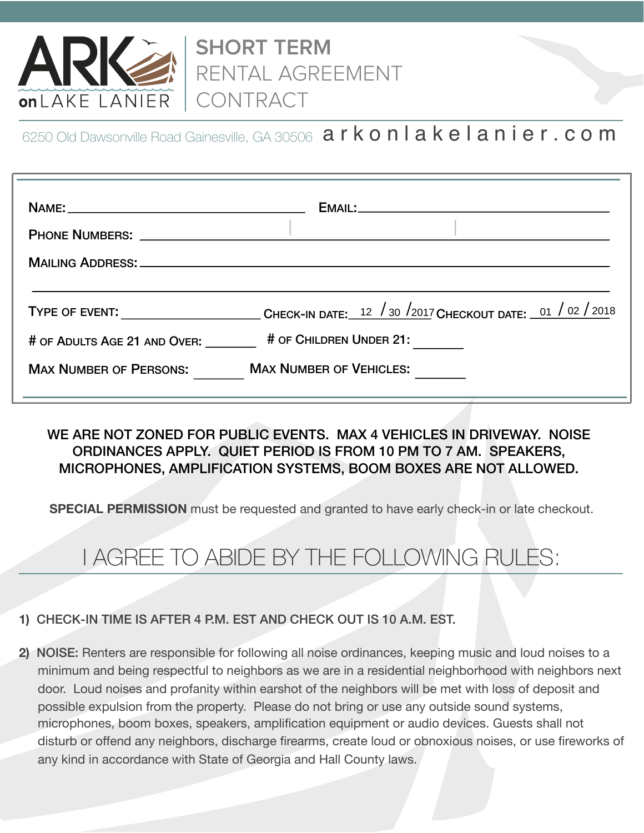

**SHORT TERM**  RENTAL AGREEMENT CONTRACT

6250 Old Dawsonville Road Gainesville, GA 30506  $\,$  a r  $\,$ k  $\,$ o $\,$ n  $\,$ l  $\,$ a k  $\,$ e  $\,$ l  $\,$ a  $\,$ n  $\,$ i  $\,$ e r  $\,$ .  $\,$ c o $\,$ m $\,$ 

| MAILING ADDRESS: WELL ARE AN ARREST AND THE CONTROL OF THE CONTROL OF THE CONTROL OF THE CONTROL OF THE CONTROL OF THE CONTROL OF THE CONTROL OF THE CONTROL OF THE CONTROL OF THE CONTROL OF THE CONTROL OF THE CONTROL OF TH |                                                                                                                                                      |
|--------------------------------------------------------------------------------------------------------------------------------------------------------------------------------------------------------------------------------|------------------------------------------------------------------------------------------------------------------------------------------------------|
| # OF ADULTS AGE 21 AND OVER:                                                                                                                                                                                                   | TYPE OF EVENT: ___________________________CHECK-IN DATE: $\frac{12}{30}$ /2017 CHECKOUT DATE: $\frac{01}{32}$ / 02 / 2018<br># OF CHILDREN UNDER 21: |
| <b>MAX NUMBER OF PERSONS:</b>                                                                                                                                                                                                  | <b>MAX NUMBER OF VEHICLES:</b>                                                                                                                       |

### WE ARE NOT ZONED FOR PUBLIC EVENTS. MAX 4 VEHICLES IN DRIVEWAY. NOISE ORDINANCES APPLY. QUIET PERIOD IS FROM 10 PM TO 7 AM. SPEAKERS, MICROPHONES, AMPLIFICATION SYSTEMS, BOOM BOXES ARE NOT ALLOWED.

**SPECIAL PERMISSION** must be requested and granted to have early check-in or late checkout.

# I AGREE TO ABIDE BY THE FOLLOWING RULES:

#### **1)** CHECK-IN TIME IS AFTER 4 P.M. EST AND CHECK OUT IS 10 A.M. EST.

**2)** NOISE: Renters are responsible for following all noise ordinances, keeping music and loud noises to a minimum and being respectful to neighbors as we are in a residential neighborhood with neighbors next door. Loud noises and profanity within earshot of the neighbors will be met with loss of deposit and possible expulsion from the property. Please do not bring or use any outside sound systems, microphones, boom boxes, speakers, amplification equipment or audio devices. Guests shall not disturb or offend any neighbors, discharge firearms, create loud or obnoxious noises, or use fireworks of any kind in accordance with State of Georgia and Hall County laws.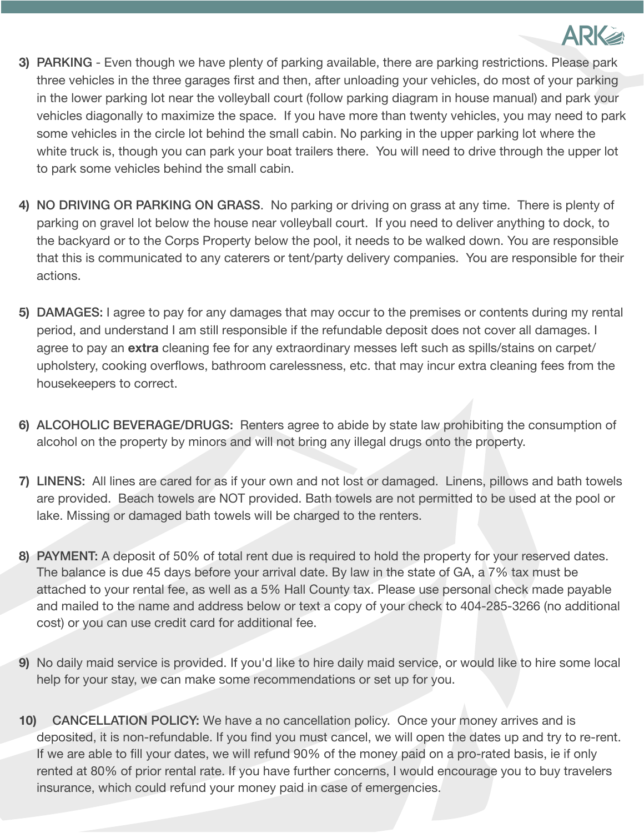

- **3)** PARKING Even though we have plenty of parking available, there are parking restrictions. Please park three vehicles in the three garages first and then, after unloading your vehicles, do most of your parking in the lower parking lot near the volleyball court (follow parking diagram in house manual) and park your vehicles diagonally to maximize the space. If you have more than twenty vehicles, you may need to park some vehicles in the circle lot behind the small cabin. No parking in the upper parking lot where the white truck is, though you can park your boat trailers there. You will need to drive through the upper lot to park some vehicles behind the small cabin.
- **4)** NO DRIVING OR PARKING ON GRASS. No parking or driving on grass at any time. There is plenty of parking on gravel lot below the house near volleyball court. If you need to deliver anything to dock, to the backyard or to the Corps Property below the pool, it needs to be walked down. You are responsible that this is communicated to any caterers or tent/party delivery companies. You are responsible for their actions.
- **5)** DAMAGES: I agree to pay for any damages that may occur to the premises or contents during my rental period, and understand I am still responsible if the refundable deposit does not cover all damages. I agree to pay an **extra** cleaning fee for any extraordinary messes left such as spills/stains on carpet/ upholstery, cooking overflows, bathroom carelessness, etc. that may incur extra cleaning fees from the housekeepers to correct.
- **6)** ALCOHOLIC BEVERAGE/DRUGS: Renters agree to abide by state law prohibiting the consumption of alcohol on the property by minors and will not bring any illegal drugs onto the property.
- **7)** LINENS: All lines are cared for as if your own and not lost or damaged. Linens, pillows and bath towels are provided. Beach towels are NOT provided. Bath towels are not permitted to be used at the pool or lake. Missing or damaged bath towels will be charged to the renters.
- **8)** PAYMENT: A deposit of 50% of total rent due is required to hold the property for your reserved dates. The balance is due 45 days before your arrival date. By law in the state of GA, a 7% tax must be attached to your rental fee, as well as a 5% Hall County tax. Please use personal check made payable and mailed to the name and address below or text a copy of your check to 404-285-3266 (no additional cost) or you can use credit card for additional fee.
- **9)** No daily maid service is provided. If you'd like to hire daily maid service, or would like to hire some local help for your stay, we can make some recommendations or set up for you.
- **10)** CANCELLATION POLICY: We have a no cancellation policy. Once your money arrives and is deposited, it is non-refundable. If you find you must cancel, we will open the dates up and try to re-rent. If we are able to fill your dates, we will refund 90% of the money paid on a pro-rated basis, ie if only rented at 80% of prior rental rate. If you have further concerns, I would encourage you to buy travelers insurance, which could refund your money paid in case of emergencies.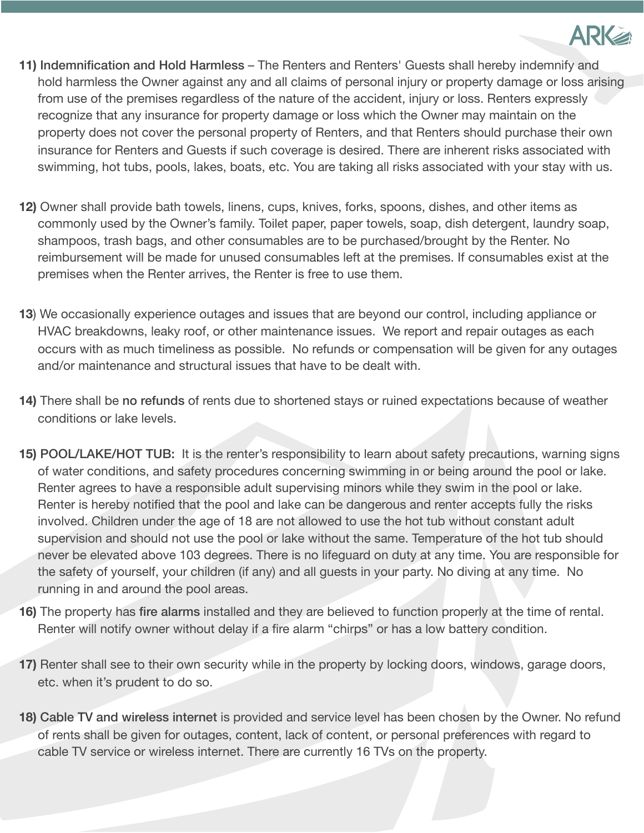

- **11)** Indemnification and Hold Harmless The Renters and Renters' Guests shall hereby indemnify and hold harmless the Owner against any and all claims of personal injury or property damage or loss arising from use of the premises regardless of the nature of the accident, injury or loss. Renters expressly recognize that any insurance for property damage or loss which the Owner may maintain on the property does not cover the personal property of Renters, and that Renters should purchase their own insurance for Renters and Guests if such coverage is desired. There are inherent risks associated with swimming, hot tubs, pools, lakes, boats, etc. You are taking all risks associated with your stay with us.
- **12)** Owner shall provide bath towels, linens, cups, knives, forks, spoons, dishes, and other items as commonly used by the Owner's family. Toilet paper, paper towels, soap, dish detergent, laundry soap, shampoos, trash bags, and other consumables are to be purchased/brought by the Renter. No reimbursement will be made for unused consumables left at the premises. If consumables exist at the premises when the Renter arrives, the Renter is free to use them.
- **13**) We occasionally experience outages and issues that are beyond our control, including appliance or HVAC breakdowns, leaky roof, or other maintenance issues. We report and repair outages as each occurs with as much timeliness as possible. No refunds or compensation will be given for any outages and/or maintenance and structural issues that have to be dealt with.
- **14)** There shall be no refunds of rents due to shortened stays or ruined expectations because of weather conditions or lake levels.
- **15)** POOL/LAKE/HOT TUB: It is the renter's responsibility to learn about safety precautions, warning signs of water conditions, and safety procedures concerning swimming in or being around the pool or lake. Renter agrees to have a responsible adult supervising minors while they swim in the pool or lake. Renter is hereby notified that the pool and lake can be dangerous and renter accepts fully the risks involved. Children under the age of 18 are not allowed to use the hot tub without constant adult supervision and should not use the pool or lake without the same. Temperature of the hot tub should never be elevated above 103 degrees. There is no lifeguard on duty at any time. You are responsible for the safety of yourself, your children (if any) and all guests in your party. No diving at any time. No running in and around the pool areas.
- **16)** The property has fire alarms installed and they are believed to function properly at the time of rental. Renter will notify owner without delay if a fire alarm "chirps" or has a low battery condition.
- **17)** Renter shall see to their own security while in the property by locking doors, windows, garage doors, etc. when it's prudent to do so.
- **18)** Cable TV and wireless internet is provided and service level has been chosen by the Owner. No refund of rents shall be given for outages, content, lack of content, or personal preferences with regard to cable TV service or wireless internet. There are currently 16 TVs on the property.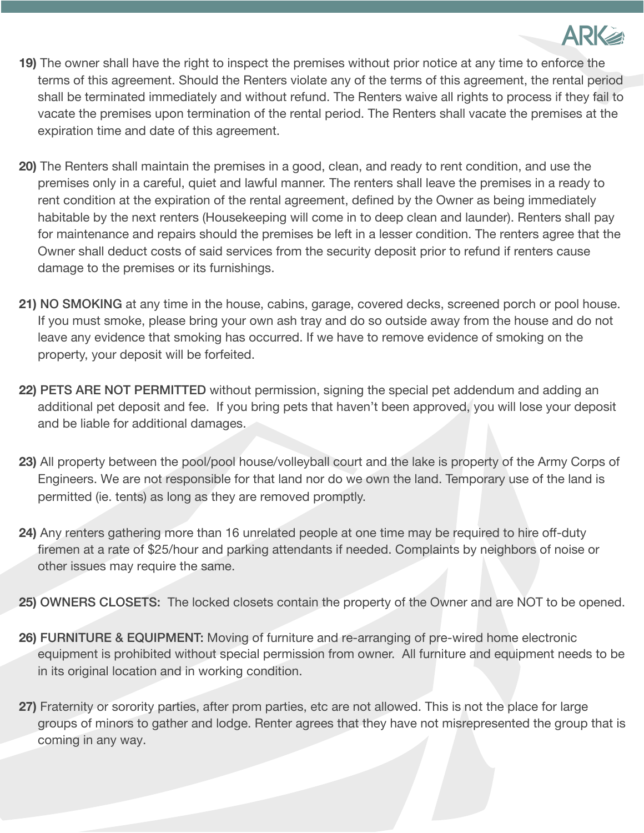

- **19)** The owner shall have the right to inspect the premises without prior notice at any time to enforce the terms of this agreement. Should the Renters violate any of the terms of this agreement, the rental period shall be terminated immediately and without refund. The Renters waive all rights to process if they fail to vacate the premises upon termination of the rental period. The Renters shall vacate the premises at the expiration time and date of this agreement.
- **20)** The Renters shall maintain the premises in a good, clean, and ready to rent condition, and use the premises only in a careful, quiet and lawful manner. The renters shall leave the premises in a ready to rent condition at the expiration of the rental agreement, defined by the Owner as being immediately habitable by the next renters (Housekeeping will come in to deep clean and launder). Renters shall pay for maintenance and repairs should the premises be left in a lesser condition. The renters agree that the Owner shall deduct costs of said services from the security deposit prior to refund if renters cause damage to the premises or its furnishings.
- **21)** NO SMOKING at any time in the house, cabins, garage, covered decks, screened porch or pool house. If you must smoke, please bring your own ash tray and do so outside away from the house and do not leave any evidence that smoking has occurred. If we have to remove evidence of smoking on the property, your deposit will be forfeited.
- **22)** PETS ARE NOT PERMITTED without permission, signing the special pet addendum and adding an additional pet deposit and fee. If you bring pets that haven't been approved, you will lose your deposit and be liable for additional damages.
- **23)** All property between the pool/pool house/volleyball court and the lake is property of the Army Corps of Engineers. We are not responsible for that land nor do we own the land. Temporary use of the land is permitted (ie. tents) as long as they are removed promptly.
- **24)** Any renters gathering more than 16 unrelated people at one time may be required to hire off-duty firemen at a rate of \$25/hour and parking attendants if needed. Complaints by neighbors of noise or other issues may require the same.
- **25)** OWNERS CLOSETS: The locked closets contain the property of the Owner and are NOT to be opened.
- **26)** FURNITURE & EQUIPMENT: Moving of furniture and re-arranging of pre-wired home electronic equipment is prohibited without special permission from owner. All furniture and equipment needs to be in its original location and in working condition.
- **27)** Fraternity or sorority parties, after prom parties, etc are not allowed. This is not the place for large groups of minors to gather and lodge. Renter agrees that they have not misrepresented the group that is coming in any way.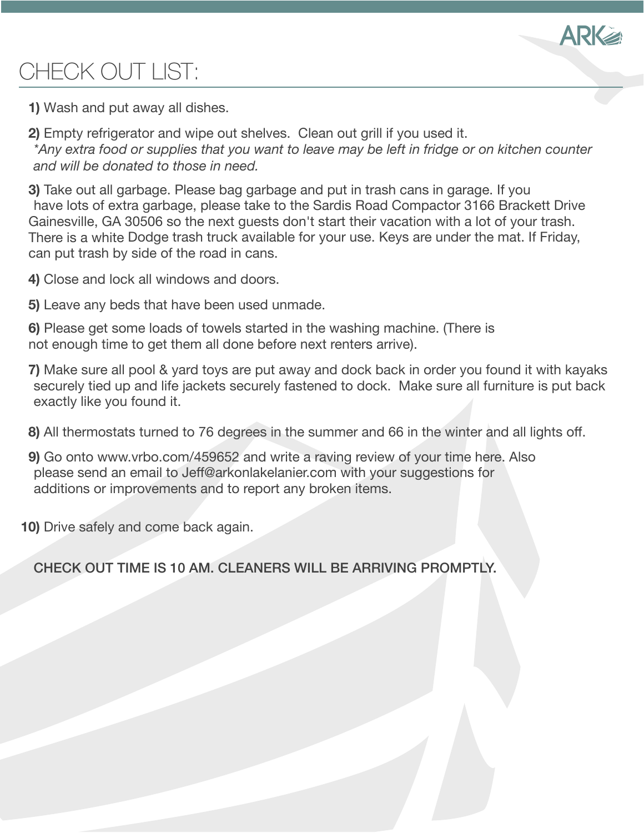

# CHECK OUT LIST:

- **1)** Wash and put away all dishes.
- **2)** Empty refrigerator and wipe out shelves. Clean out grill if you used it. *\*Any extra food or supplies that you want to leave may be left in fridge or on kitchen counter and will be donated to those in need.*

**3)** Take out all garbage. Please bag garbage and put in trash cans in garage. If you have lots of extra garbage, please take to the Sardis Road Compactor 3166 Brackett Drive Gainesville, GA 30506 so the next guests don't start their vacation with a lot of your trash. There is a white Dodge trash truck available for your use. Keys are under the mat. If Friday, can put trash by side of the road in cans.

- **4)** Close and lock all windows and doors.
- **5)** Leave any beds that have been used unmade.
- **6)** Please get some loads of towels started in the washing machine. (There is not enough time to get them all done before next renters arrive).
- **7)** Make sure all pool & yard toys are put away and dock back in order you found it with kayaks securely tied up and life jackets securely fastened to dock. Make sure all furniture is put back exactly like you found it.
- **8)** All thermostats turned to 76 degrees in the summer and 66 in the winter and all lights off.
- **9)** Go onto www.vrbo.com/459652 and write a raving review of your time here. Also please send an email to Jeff@arkonlakelanier.com with your suggestions for additions or improvements and to report any broken items.
- **10)** Drive safely and come back again.

CHECK OUT TIME IS 10 AM. CLEANERS WILL BE ARRIVING PROMPTLY.